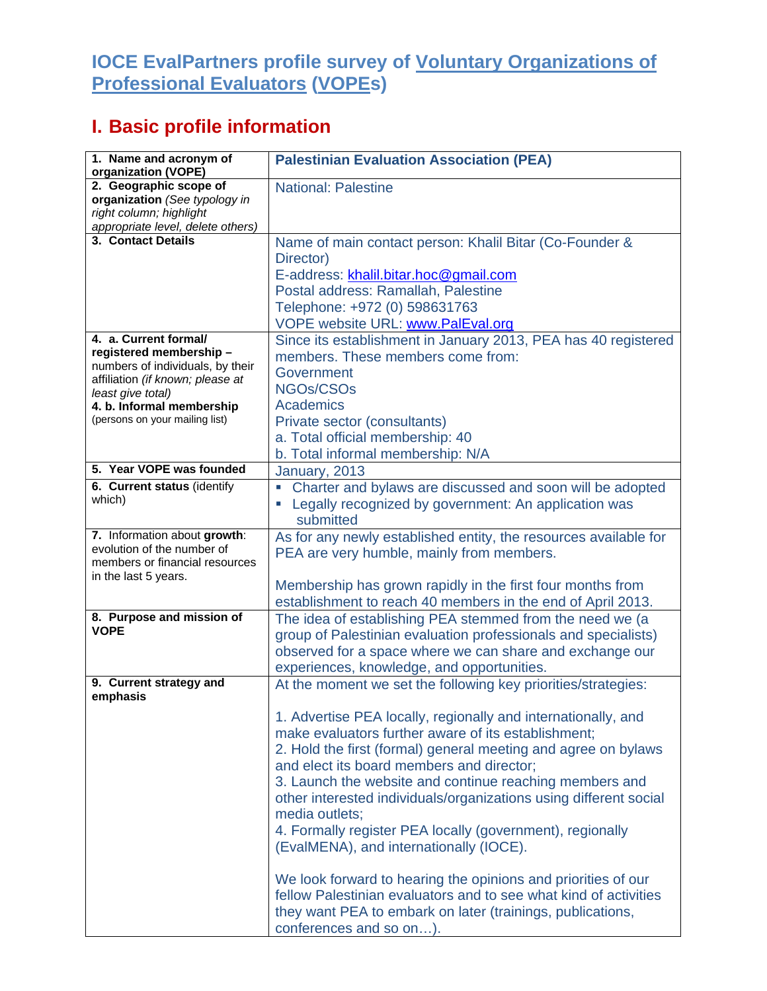## **IOCE EvalPartners profile survey of Voluntary Organizations of Professional Evaluators (VOPEs)**

## **I. Basic profile information**

| 1. Name and acronym of<br>organization (VOPE)                                                                                                                                                                | <b>Palestinian Evaluation Association (PEA)</b>                                                                                                                                                                                                                                                                                                                                                                                                                                                                                                                                                                                                                                                                                                                                              |
|--------------------------------------------------------------------------------------------------------------------------------------------------------------------------------------------------------------|----------------------------------------------------------------------------------------------------------------------------------------------------------------------------------------------------------------------------------------------------------------------------------------------------------------------------------------------------------------------------------------------------------------------------------------------------------------------------------------------------------------------------------------------------------------------------------------------------------------------------------------------------------------------------------------------------------------------------------------------------------------------------------------------|
| 2. Geographic scope of<br>organization (See typology in<br>right column; highlight<br>appropriate level, delete others)                                                                                      | <b>National: Palestine</b>                                                                                                                                                                                                                                                                                                                                                                                                                                                                                                                                                                                                                                                                                                                                                                   |
| 3. Contact Details                                                                                                                                                                                           | Name of main contact person: Khalil Bitar (Co-Founder &<br>Director)<br>E-address: khalil.bitar.hoc@gmail.com<br>Postal address: Ramallah, Palestine<br>Telephone: +972 (0) 598631763<br><b>VOPE website URL: www.PalEval.org</b>                                                                                                                                                                                                                                                                                                                                                                                                                                                                                                                                                            |
| 4. a. Current formal/<br>registered membership -<br>numbers of individuals, by their<br>affiliation (if known; please at<br>least give total)<br>4. b. Informal membership<br>(persons on your mailing list) | Since its establishment in January 2013, PEA has 40 registered<br>members. These members come from:<br>Government<br>NGOs/CSOs<br><b>Academics</b><br>Private sector (consultants)<br>a. Total official membership: 40<br>b. Total informal membership: N/A                                                                                                                                                                                                                                                                                                                                                                                                                                                                                                                                  |
| 5. Year VOPE was founded                                                                                                                                                                                     | January, 2013                                                                                                                                                                                                                                                                                                                                                                                                                                                                                                                                                                                                                                                                                                                                                                                |
| 6. Current status (identify<br>which)                                                                                                                                                                        | Charter and bylaws are discussed and soon will be adopted<br>Legally recognized by government: An application was<br>submitted                                                                                                                                                                                                                                                                                                                                                                                                                                                                                                                                                                                                                                                               |
| 7. Information about growth:<br>evolution of the number of<br>members or financial resources<br>in the last 5 years.                                                                                         | As for any newly established entity, the resources available for<br>PEA are very humble, mainly from members.<br>Membership has grown rapidly in the first four months from<br>establishment to reach 40 members in the end of April 2013.                                                                                                                                                                                                                                                                                                                                                                                                                                                                                                                                                   |
| 8. Purpose and mission of<br><b>VOPE</b>                                                                                                                                                                     | The idea of establishing PEA stemmed from the need we (a<br>group of Palestinian evaluation professionals and specialists)<br>observed for a space where we can share and exchange our<br>experiences, knowledge, and opportunities.                                                                                                                                                                                                                                                                                                                                                                                                                                                                                                                                                         |
| 9. Current strategy and<br>emphasis                                                                                                                                                                          | At the moment we set the following key priorities/strategies:<br>1. Advertise PEA locally, regionally and internationally, and<br>make evaluators further aware of its establishment;<br>2. Hold the first (formal) general meeting and agree on bylaws<br>and elect its board members and director;<br>3. Launch the website and continue reaching members and<br>other interested individuals/organizations using different social<br>media outlets;<br>4. Formally register PEA locally (government), regionally<br>(EvalMENA), and internationally (IOCE).<br>We look forward to hearing the opinions and priorities of our<br>fellow Palestinian evaluators and to see what kind of activities<br>they want PEA to embark on later (trainings, publications,<br>conferences and so on). |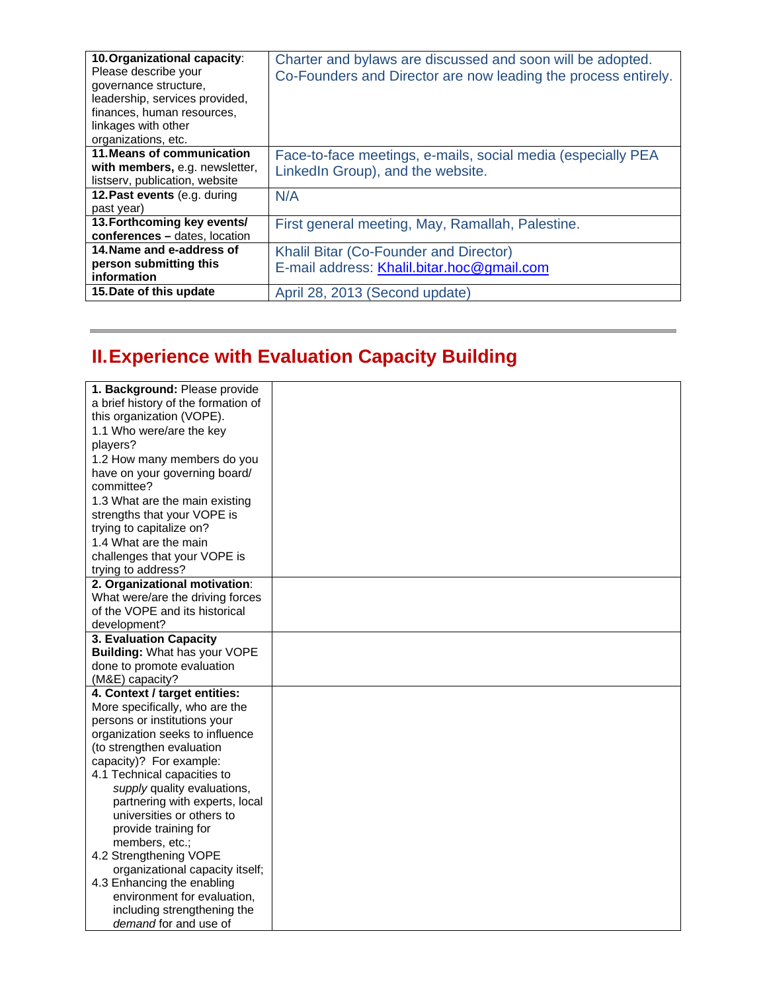| 10. Organizational capacity:<br>Please describe your<br>governance structure,<br>leadership, services provided,<br>finances, human resources,<br>linkages with other<br>organizations, etc. | Charter and bylaws are discussed and soon will be adopted.<br>Co-Founders and Director are now leading the process entirely. |
|---------------------------------------------------------------------------------------------------------------------------------------------------------------------------------------------|------------------------------------------------------------------------------------------------------------------------------|
| 11. Means of communication<br>with members, e.g. newsletter,<br>listserv, publication, website                                                                                              | Face-to-face meetings, e-mails, social media (especially PEA<br>LinkedIn Group), and the website.                            |
| 12. Past events (e.g. during<br>past year)                                                                                                                                                  | N/A                                                                                                                          |
| 13. Forthcoming key events/<br>conferences - dates, location                                                                                                                                | First general meeting, May, Ramallah, Palestine.                                                                             |
| 14. Name and e-address of<br>person submitting this<br>information                                                                                                                          | Khalil Bitar (Co-Founder and Director)<br>E-mail address: Khalil.bitar.hoc@gmail.com                                         |
| 15. Date of this update                                                                                                                                                                     | April 28, 2013 (Second update)                                                                                               |

## **II. Experience with Evaluation Capacity Building**

| 1. Background: Please provide       |  |
|-------------------------------------|--|
| a brief history of the formation of |  |
| this organization (VOPE).           |  |
| 1.1 Who were/are the key            |  |
| players?                            |  |
| 1.2 How many members do you         |  |
| have on your governing board/       |  |
| committee?                          |  |
| 1.3 What are the main existing      |  |
| strengths that your VOPE is         |  |
| trying to capitalize on?            |  |
| 1.4 What are the main               |  |
| challenges that your VOPE is        |  |
| trying to address?                  |  |
| 2. Organizational motivation:       |  |
| What were/are the driving forces    |  |
| of the VOPE and its historical      |  |
| development?                        |  |
| 3. Evaluation Capacity              |  |
| Building: What has your VOPE        |  |
| done to promote evaluation          |  |
| (M&E) capacity?                     |  |
| 4. Context / target entities:       |  |
| More specifically, who are the      |  |
| persons or institutions your        |  |
| organization seeks to influence     |  |
| (to strengthen evaluation           |  |
| capacity)? For example:             |  |
| 4.1 Technical capacities to         |  |
| supply quality evaluations,         |  |
| partnering with experts, local      |  |
| universities or others to           |  |
| provide training for                |  |
| members, etc.;                      |  |
| 4.2 Strengthening VOPE              |  |
| organizational capacity itself;     |  |
| 4.3 Enhancing the enabling          |  |
| environment for evaluation,         |  |
| including strengthening the         |  |
| demand for and use of               |  |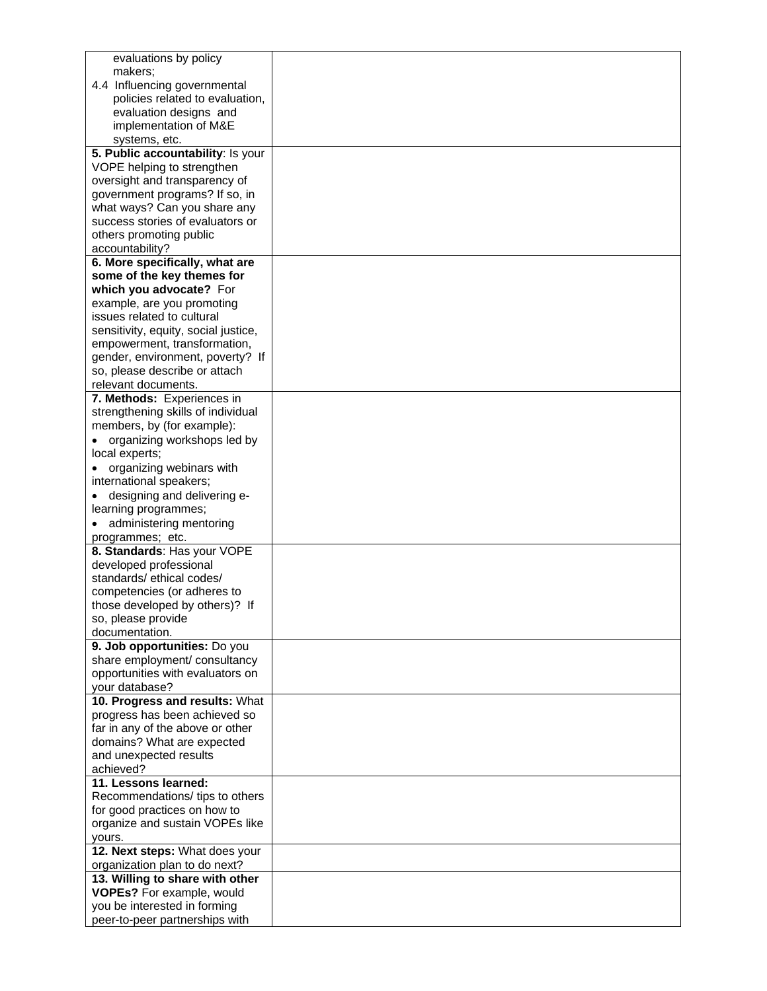| evaluations by policy                    |  |
|------------------------------------------|--|
| makers;                                  |  |
| 4.4 Influencing governmental             |  |
| policies related to evaluation,          |  |
| evaluation designs and                   |  |
|                                          |  |
| implementation of M&E                    |  |
| systems, etc.                            |  |
| 5. Public accountability: Is your        |  |
| VOPE helping to strengthen               |  |
| oversight and transparency of            |  |
| government programs? If so, in           |  |
| what ways? Can you share any             |  |
| success stories of evaluators or         |  |
|                                          |  |
| others promoting public                  |  |
| accountability?                          |  |
| 6. More specifically, what are           |  |
| some of the key themes for               |  |
| which you advocate? For                  |  |
| example, are you promoting               |  |
| issues related to cultural               |  |
| sensitivity, equity, social justice,     |  |
| empowerment, transformation,             |  |
| gender, environment, poverty? If         |  |
|                                          |  |
| so, please describe or attach            |  |
| relevant documents.                      |  |
| 7. Methods: Experiences in               |  |
| strengthening skills of individual       |  |
| members, by (for example):               |  |
| organizing workshops led by              |  |
| local experts;                           |  |
| organizing webinars with                 |  |
|                                          |  |
| international speakers;                  |  |
| designing and delivering e-              |  |
| learning programmes;                     |  |
| • administering mentoring                |  |
| programmes; etc.                         |  |
| 8. Standards: Has your VOPE              |  |
| developed professional                   |  |
| standards/ethical codes/                 |  |
|                                          |  |
| competencies (or adheres to              |  |
| those developed by others)? If           |  |
| so, please provide                       |  |
| documentation.                           |  |
| 9. Job opportunities: Do you             |  |
| share employment/ consultancy            |  |
| opportunities with evaluators on         |  |
| your database?                           |  |
| 10. Progress and results: What           |  |
| progress has been achieved so            |  |
|                                          |  |
| far in any of the above or other         |  |
| domains? What are expected               |  |
| and unexpected results                   |  |
| achieved?                                |  |
| 11. Lessons learned:                     |  |
| Recommendations/ tips to others          |  |
| for good practices on how to             |  |
| organize and sustain VOPEs like          |  |
|                                          |  |
| yours.<br>12. Next steps: What does your |  |
|                                          |  |
| organization plan to do next?            |  |
| 13. Willing to share with other          |  |
| VOPEs? For example, would                |  |
| you be interested in forming             |  |
| peer-to-peer partnerships with           |  |